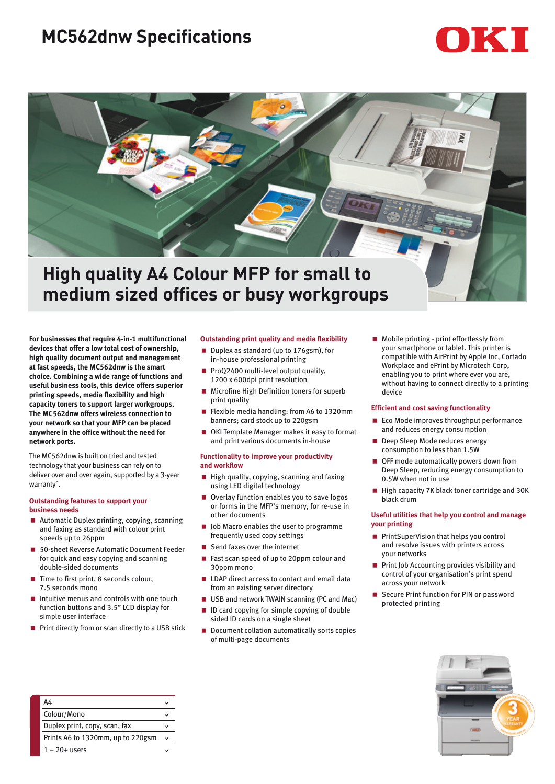## **MC562dnw Specifications**

# IKI



## **High quality A4 Colour MFP for small to medium sized offices or busy workgroups**

**For businesses that require 4-in-1 multifunctional devices that offer a low total cost of ownership, high quality document output and management at fast speeds, the MC562dnw is the smart choice. Combining a wide range of functions and useful business tools, this device offers superior printing speeds, media flexibility and high capacity toners to support larger workgroups. The MC562dnw offers wireless connection to your network so that your MFP can be placed anywhere in the office without the need for network ports.** 

The MC562dnw is built on tried and tested technology that your business can rely on to deliver over and over again, supported by a 3-year warranty^.

#### **Outstanding features to support your business needs**

- Automatic Duplex printing, copying, scanning and faxing as standard with colour print speeds up to 26ppm
- < 50-sheet Reverse Automatic Document Feeder for quick and easy copying and scanning double-sided documents
- < Time to first print, 8 seconds colour, 7.5 seconds mono
- $\blacksquare$  Intuitive menus and controls with one touch function buttons and 3.5" LCD display for simple user interface
- Print directly from or scan directly to a USB stick

#### **Outstanding print quality and media flexibility**

- Duplex as standard (up to 176gsm), for in-house professional printing
- < ProQ2400 multi-level output quality, 1200 x 600dpi print resolution
- Microfine High Definition toners for superb print quality
- Flexible media handling: from A6 to 1320mm banners; card stock up to 220gsm
- OKI Template Manager makes it easy to format and print various documents in-house

#### **Functionality to improve your productivity and workflow**

- High quality, copying, scanning and faxing using LED digital technology
- Overlay function enables you to save logos or forms in the MFP's memory, for re-use in other documents
- **D** Job Macro enables the user to programme frequently used copy settings
- $\blacksquare$  Send faxes over the internet
- < Fast scan speed of up to 20ppm colour and 30ppm mono
- **LDAP** direct access to contact and email data from an existing server directory
- USB and network TWAIN scanning (PC and Mac)
- < ID card copying for simple copying of double sided ID cards on a single sheet
- Document collation automatically sorts copies of multi-page documents

**Mobile printing - print effortlessly from** your smartphone or tablet. This printer is compatible with AirPrint by Apple Inc, Cortado Workplace and ePrint by Microtech Corp, enabling you to print where ever you are, without having to connect directly to a printing device

#### **Efficient and cost saving functionality**

- Eco Mode improves throughput performance and reduces energy consumption
- **Deep Sleep Mode reduces energy** consumption to less than 1.5W
- OFF mode automatically powers down from Deep Sleep, reducing energy consumption to 0.5W when not in use
- High capacity 7K black toner cartridge and 30K black drum

#### **Useful utilities that help you control and manage your printing**

- **PrintSuperVision that helps you control** and resolve issues with printers across your networks
- **Print Job Accounting provides visibility and** control of your organisation's print spend across your network
- Secure Print function for PIN or password protected printing



| A4                                |  |
|-----------------------------------|--|
| Colour/Mono                       |  |
| Duplex print, copy, scan, fax     |  |
| Prints A6 to 1320mm, up to 220gsm |  |
| $1 - 20 +$ users                  |  |